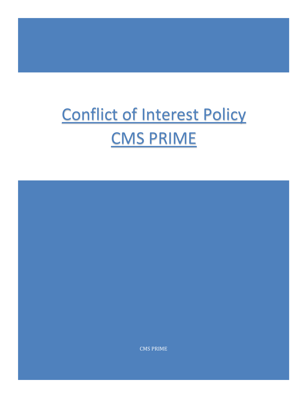## Conflict of Interest Policy CMS PRIME

CMS PRIME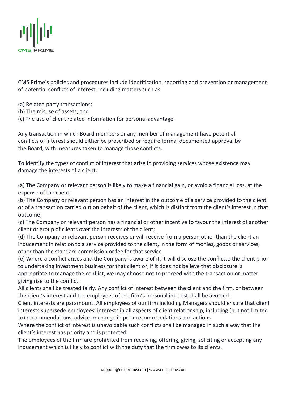

CMS Prime's policies and procedures include identification, reporting and prevention or management of potential conflicts of interest, including matters such as:

- (a) Related party transactions;
- (b) The misuse of assets; and
- (c) The use of client related information for personal advantage.

Any transaction in which Board members or any member of management have potential conflicts of interest should either be proscribed or require formal documented approval by the Board, with measures taken to manage those conflicts.

To identify the types of conflict of interest that arise in providing services whose existence may damage the interests of a client:

(a) The Company or relevant person is likely to make a financial gain, or avoid a financial loss, at the expense of the client;

(b) The Company or relevant person has an interest in the outcome of a service provided to the client or of a transaction carried out on behalf of the client, which is distinct from the client's interest in that outcome;

(c) The Company or relevant person has a financial or other incentive to favour the interest of another client or group of clients over the interests of the client;

(d) The Company or relevant person receives or will receive from a person other than the client an inducement in relation to a service provided to the client, in the form of monies, goods or services, other than the standard commission or fee for that service.

(e) Where a conflict arises and the Company is aware of it, it will disclose the conflictto the client prior to undertaking investment business for that client or, if it does not believe that disclosure is appropriate to manage the conflict, we may choose not to proceed with the transaction or matter giving rise to the conflict.

All clients shall be treated fairly. Any conflict of interest between the client and the firm, or between the client's interest and the employees of the firm's personal interest shall be avoided.

Client interests are paramount. All employees of our firm including Managers should ensure that client interests supersede employees' interests in all aspects of client relationship, including (but not limited to) recommendations, advice or change in prior recommendations and actions.

Where the conflict of interest is unavoidable such conflicts shall be managed in such a way that the client's interest has priority and is protected.

The employees of the firm are prohibited from receiving, offering, giving, soliciting or accepting any inducement which is likely to conflict with the duty that the firm owes to its clients.